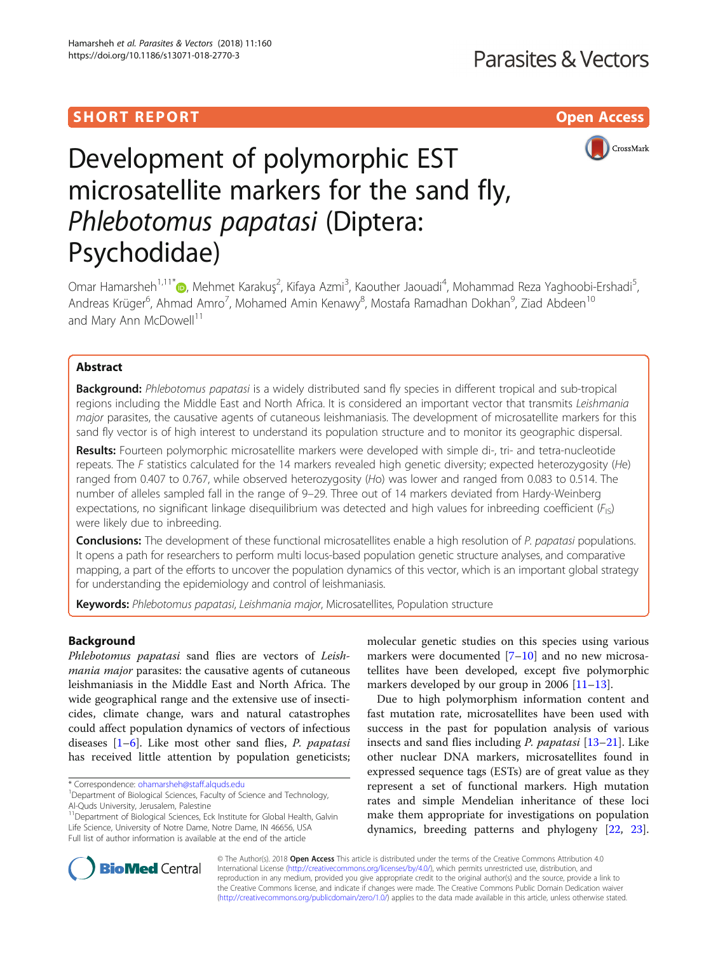# SHORT REPORT AND THE SHORT CONTROL CONTROL CONTROL CONTROL CONTROL CONTROL CONTROL CONTROL CONTROL CONTROL CONTROL CONTROL CONTROL CONTROL CONTROL CONTROL CONTROL CONTROL CONTROL CONTROL CONTROL CONTROL CONTROL CONTROL CON



# Development of polymorphic EST microsatellite markers for the sand fly, Phlebotomus papatasi (Diptera: Psychodidae)

Omar Hamarsheh<sup>1[,](http://orcid.org/0000-0002-3258-9759)11\*</sup>@, Mehmet Karakuş<sup>2</sup>, Kifaya Azmi<sup>3</sup>, Kaouther Jaouadi<sup>4</sup>, Mohammad Reza Yaghoobi-Ershadi<sup>5</sup> , Andreas Krüger<sup>6</sup>, Ahmad Amro<sup>7</sup>, Mohamed Amin Kenawy<sup>8</sup>, Mostafa Ramadhan Dokhan<sup>9</sup>, Ziad Abdeen<sup>10</sup> and Mary Ann McDowell<sup>11</sup>

## Abstract

Background: Phlebotomus papatasi is a widely distributed sand fly species in different tropical and sub-tropical regions including the Middle East and North Africa. It is considered an important vector that transmits Leishmania major parasites, the causative agents of cutaneous leishmaniasis. The development of microsatellite markers for this sand fly vector is of high interest to understand its population structure and to monitor its geographic dispersal.

Results: Fourteen polymorphic microsatellite markers were developed with simple di-, tri- and tetra-nucleotide repeats. The  $F$  statistics calculated for the 14 markers revealed high genetic diversity; expected heterozygosity (He) ranged from 0.407 to 0.767, while observed heterozygosity (Ho) was lower and ranged from 0.083 to 0.514. The number of alleles sampled fall in the range of 9–29. Three out of 14 markers deviated from Hardy-Weinberg expectations, no significant linkage disequilibrium was detected and high values for inbreeding coefficient  $(F_{15})$ were likely due to inbreeding.

**Conclusions:** The development of these functional microsatellites enable a high resolution of P. papatasi populations. It opens a path for researchers to perform multi locus-based population genetic structure analyses, and comparative mapping, a part of the efforts to uncover the population dynamics of this vector, which is an important global strategy for understanding the epidemiology and control of leishmaniasis.

Keywords: Phlebotomus papatasi, Leishmania major, Microsatellites, Population structure

## Background

Phlebotomus papatasi sand flies are vectors of Leishmania major parasites: the causative agents of cutaneous leishmaniasis in the Middle East and North Africa. The wide geographical range and the extensive use of insecticides, climate change, wars and natural catastrophes could affect population dynamics of vectors of infectious diseases  $[1-6]$  $[1-6]$  $[1-6]$  $[1-6]$ . Like most other sand flies, *P. papatasi* has received little attention by population geneticists;

11Department of Biological Sciences, Eck Institute for Global Health, Galvin Life Science, University of Notre Dame, Notre Dame, IN 46656, USA Full list of author information is available at the end of the article

molecular genetic studies on this species using various markers were documented  $[7-10]$  $[7-10]$  $[7-10]$  and no new microsatellites have been developed, except five polymorphic markers developed by our group in 2006 [[11](#page-3-0)–[13](#page-3-0)].

Due to high polymorphism information content and fast mutation rate, microsatellites have been used with success in the past for population analysis of various insects and sand flies including P. papatasi [\[13](#page-3-0)–[21\]](#page-3-0). Like other nuclear DNA markers, microsatellites found in expressed sequence tags (ESTs) are of great value as they represent a set of functional markers. High mutation rates and simple Mendelian inheritance of these loci make them appropriate for investigations on population dynamics, breeding patterns and phylogeny [\[22,](#page-3-0) [23](#page-3-0)].



© The Author(s). 2018 Open Access This article is distributed under the terms of the Creative Commons Attribution 4.0 International License [\(http://creativecommons.org/licenses/by/4.0/](http://creativecommons.org/licenses/by/4.0/)), which permits unrestricted use, distribution, and reproduction in any medium, provided you give appropriate credit to the original author(s) and the source, provide a link to the Creative Commons license, and indicate if changes were made. The Creative Commons Public Domain Dedication waiver [\(http://creativecommons.org/publicdomain/zero/1.0/](http://creativecommons.org/publicdomain/zero/1.0/)) applies to the data made available in this article, unless otherwise stated.

<sup>\*</sup> Correspondence: [ohamarsheh@staff.alquds.edu](mailto:ohamarsheh@staff.alquds.edu) <sup>1</sup>

<sup>&</sup>lt;sup>1</sup>Department of Biological Sciences, Faculty of Science and Technology, Al-Quds University, Jerusalem, Palestine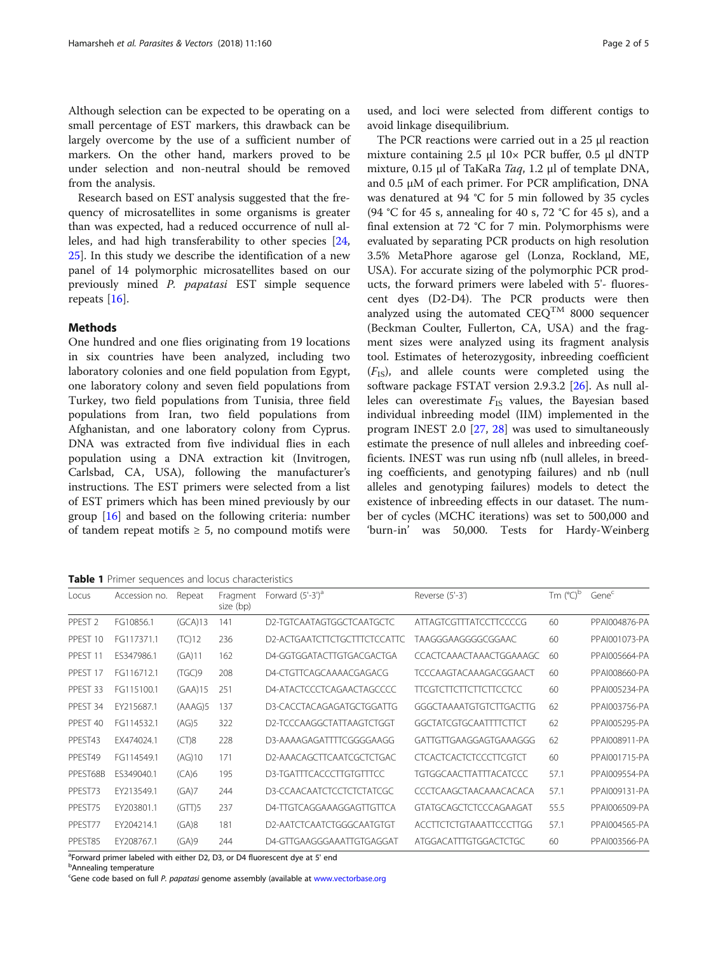<span id="page-1-0"></span>Although selection can be expected to be operating on a small percentage of EST markers, this drawback can be largely overcome by the use of a sufficient number of markers. On the other hand, markers proved to be under selection and non-neutral should be removed from the analysis.

Research based on EST analysis suggested that the frequency of microsatellites in some organisms is greater than was expected, had a reduced occurrence of null alleles, and had high transferability to other species [[24](#page-3-0), [25\]](#page-3-0). In this study we describe the identification of a new panel of 14 polymorphic microsatellites based on our previously mined P. papatasi EST simple sequence repeats [[16\]](#page-3-0).

## **Methods**

One hundred and one flies originating from 19 locations in six countries have been analyzed, including two laboratory colonies and one field population from Egypt, one laboratory colony and seven field populations from Turkey, two field populations from Tunisia, three field populations from Iran, two field populations from Afghanistan, and one laboratory colony from Cyprus. DNA was extracted from five individual flies in each population using a DNA extraction kit (Invitrogen, Carlsbad, CA, USA), following the manufacturer's instructions. The EST primers were selected from a list of EST primers which has been mined previously by our group [[16\]](#page-3-0) and based on the following criteria: number of tandem repeat motifs  $\geq 5$ , no compound motifs were

Table 1 Primer sequences and locus characteristics

used, and loci were selected from different contigs to avoid linkage disequilibrium.

The PCR reactions were carried out in a 25 μl reaction mixture containing  $2.5 \text{ µl}$  10× PCR buffer, 0.5  $\text{µl}$  dNTP mixture, 0.15 μl of TaKaRa Taq, 1.2 μl of template DNA, and 0.5 μM of each primer. For PCR amplification, DNA was denatured at 94 °C for 5 min followed by 35 cycles (94 °C for 45 s, annealing for 40 s, 72 °C for 45 s), and a final extension at 72 °C for 7 min. Polymorphisms were evaluated by separating PCR products on high resolution 3.5% MetaPhore agarose gel (Lonza, Rockland, ME, USA). For accurate sizing of the polymorphic PCR products, the forward primers were labeled with 5'- fluorescent dyes (D2-D4). The PCR products were then analyzed using the automated  $CEQ^{TM}$  8000 sequencer (Beckman Coulter, Fullerton, CA, USA) and the fragment sizes were analyzed using its fragment analysis tool. Estimates of heterozygosity, inbreeding coefficient  $(F_{\text{IS}})$ , and allele counts were completed using the software package FSTAT version 2.9.3.2 [[26\]](#page-3-0). As null alleles can overestimate  $F_{IS}$  values, the Bayesian based individual inbreeding model (IIM) implemented in the program INEST 2.0 [\[27,](#page-3-0) [28](#page-4-0)] was used to simultaneously estimate the presence of null alleles and inbreeding coefficients. INEST was run using nfb (null alleles, in breeding coefficients, and genotyping failures) and nb (null alleles and genotyping failures) models to detect the existence of inbreeding effects in our dataset. The number of cycles (MCHC iterations) was set to 500,000 and 'burn-in' was 50,000. Tests for Hardy-Weinberg

| Locus              | Accession no. | Repeat  | Fragment<br>size (bp) | Forward $(5'-3')^a$          | Reverse (5'-3')                | Tm $(^{\circ}C)^{\circ}$ | Genec         |
|--------------------|---------------|---------|-----------------------|------------------------------|--------------------------------|--------------------------|---------------|
| PPEST <sub>2</sub> | FG10856.1     | (GCA)13 | 141                   | D2-TGTCAATAGTGGCTCAATGCTC    | <b>ATTAGTCGTTTATCCTTCCCCG</b>  | 60                       | PPAI004876-PA |
| PPEST 10           | FG117371.1    | (TC)12  | 236                   | D2-ACTGAATCTTCTGCTTTCTCCATTC | TAAGGGAAGGGGCGGAAC             | 60                       | PPAI001073-PA |
| PPEST 11           | ES347986.1    | (GA)11  | 162                   | D4-GGTGGATACTTGTGACGACTGA    | CCACTCAAACTAAACTGGAAAGC        | 60                       | PPAI005664-PA |
| PPEST 17           | FG116712.1    | (TGC)9  | 208                   | D4-CTGTTCAGCAAAACGAGACG      | <b>TCCCAAGTACAAAGACGGAACT</b>  | 60                       | PPAI008660-PA |
| PPEST 33           | FG115100.1    | (GAA)15 | 251                   | D4-ATACTCCCTCAGAACTAGCCCC    | <b>TTCGTCTTCTTCTTCTTCCTCC</b>  | 60                       | PPAI005234-PA |
| PPEST 34           | EY215687.1    | (AAAG)5 | 137                   | D3-CACCTACAGAGATGCTGGATTG    | GGGCTAAAATGTGTCTTGACTTG        | 62                       | PPAI003756-PA |
| PPFST 40           | FG114532.1    | (AG)5   | 322                   | D2-TCCCAAGGCTATTAAGTCTGGT    | GGCTATCGTGCAATTTTCTTCT         | 62                       | PPAI005295-PA |
| PPEST43            | EX474024.1    | (CT)8   | 228                   | D3-AAAAGAGATTTTCGGGGAAGG     | GATTGTTGAAGGAGTGAAAGGG         | 62                       | PPAI008911-PA |
| PPEST49            | FG114549.1    | (AG)10  | 171                   | D2-AAACAGCTTCAATCGCTCTGAC    | <b>CTCACTCACTCTCCCTTCGTCT</b>  | 60                       | PPAI001715-PA |
| PPEST68B           | ES349040.1    | (CA)6   | 195                   | D3-TGATTTCACCCTTGTGTTTCC     | <b>TGTGGCAACTTATTTACATCCC</b>  | 57.1                     | PPAI009554-PA |
| PPEST73            | EY213549.1    | (GA)7   | 244                   | D3-CCAACAATCTCCTCTCTATCGC    | CCCTCAAGCTAACAAACACACA         | 57.1                     | PPAI009131-PA |
| PPEST75            | EY203801.1    | (GTT)5  | 237                   | D4-TTGTCAGGAAAGGAGTTGTTCA    | GTATGCAGCTCTCCCAGAAGAT         | 55.5                     | PPAI006509-PA |
| PPEST77            | EY204214.1    | (GA)8   | 181                   | D2-AATCTCAATCTGGGCAATGTGT    | <b>ACCTTCTCTGTAAATTCCCTTGG</b> | 57.1                     | PPAI004565-PA |
| PPEST85            | EY208767.1    | (GA)9   | 244                   | D4-GTTGAAGGGAAATTGTGAGGAT    | ATGGACATTTGTGGACTCTGC          | 60                       | PPAI003566-PA |

<sup>a</sup>Forward primer labeled with either D2, D3, or D4 fluorescent dye at 5' end

**b**Annealing temperature

<sup>c</sup>Gene code based on full P. papatasi genome assembly (available at [www.vectorbase.org](http://www.vectorbase.org)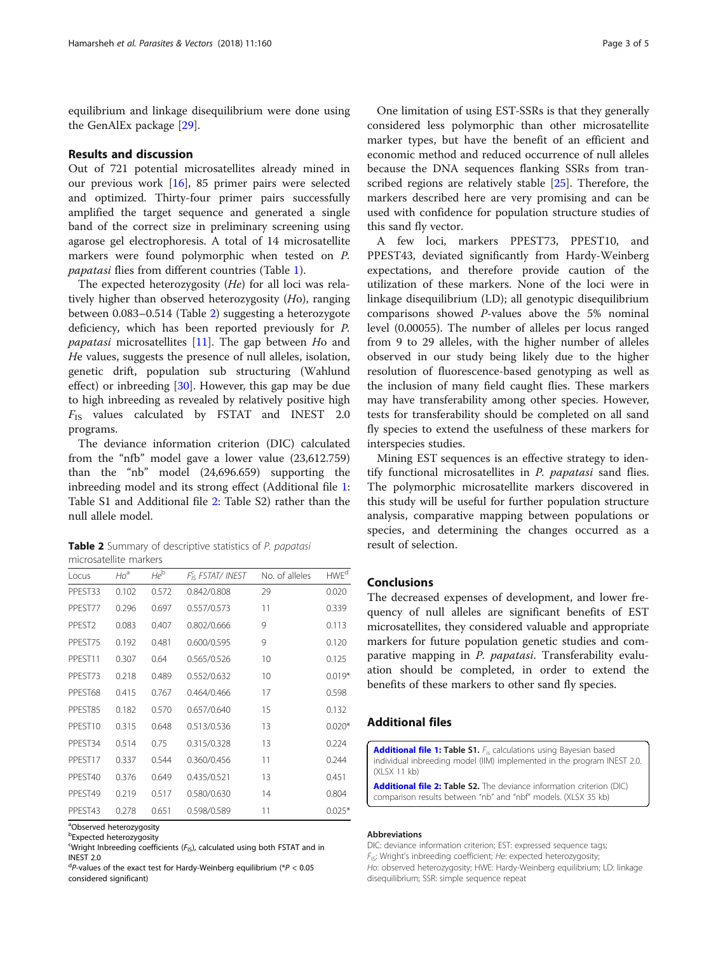equilibrium and linkage disequilibrium were done using the GenAlEx package [[29\]](#page-4-0).

#### Results and discussion

Out of 721 potential microsatellites already mined in our previous work [\[16](#page-3-0)], 85 primer pairs were selected and optimized. Thirty-four primer pairs successfully amplified the target sequence and generated a single band of the correct size in preliminary screening using agarose gel electrophoresis. A total of 14 microsatellite markers were found polymorphic when tested on P. papatasi flies from different countries (Table [1](#page-1-0)).

The expected heterozygosity (He) for all loci was relatively higher than observed heterozygosity (Ho), ranging between 0.083–0.514 (Table 2) suggesting a heterozygote deficiency, which has been reported previously for P. papatasi microsatellites [[11](#page-3-0)]. The gap between Ho and He values, suggests the presence of null alleles, isolation, genetic drift, population sub structuring (Wahlund effect) or inbreeding [\[30](#page-4-0)]. However, this gap may be due to high inbreeding as revealed by relatively positive high  $F_{IS}$  values calculated by FSTAT and INEST 2.0 programs.

The deviance information criterion (DIC) calculated from the "nfb" model gave a lower value (23,612.759) than the "nb" model (24,696.659) supporting the inbreeding model and its strong effect (Additional file 1: Table S1 and Additional file 2: Table S2) rather than the null allele model.

Table 2 Summary of descriptive statistics of P. papatasi microsatellite markers

| Locus              | $Ho^a$ | $He^b$ | F <sub>is</sub> FSTAT/ INEST | No. of alleles | <b>HWE<sup>d</sup></b> |
|--------------------|--------|--------|------------------------------|----------------|------------------------|
| PPEST33            | 0.102  | 0.572  | 0.842/0.808                  | 29             | 0.020                  |
| PPEST77            | 0.296  | 0.697  | 0.557/0.573                  | 11             | 0.339                  |
| PPEST <sub>2</sub> | 0.083  | 0.407  | 0.802/0.666                  | 9              | 0.113                  |
| PPEST75            | 0.192  | 0.481  | 0.600/0.595                  | 9              | 0.120                  |
| PPEST11            | 0.307  | 0.64   | 0.565/0.526                  | 10             | 0.125                  |
| PPEST73            | 0.218  | 0.489  | 0.552/0.632                  | 10             | $0.019*$               |
| PPEST68            | 0.415  | 0.767  | 0.464/0.466                  | 17             | 0.598                  |
| PPEST85            | 0.182  | 0.570  | 0.657/0.640                  | 15             | 0.132                  |
| PPEST10            | 0.315  | 0.648  | 0.513/0.536                  | 13             | $0.020*$               |
| PPEST34            | 0.514  | 0.75   | 0.315/0.328                  | 13             | 0.224                  |
| PPEST17            | 0.337  | 0.544  | 0.360/0.456                  | 11             | 0.244                  |
| PPFST40            | 0.376  | 0.649  | 0.435/0.521                  | 13             | 0.451                  |
| PPEST49            | 0.219  | 0.517  | 0.580/0.630                  | 14             | 0.804                  |
| PPEST43            | 0.278  | 0.651  | 0.598/0.589                  | 11             | $0.025*$               |

<sup>a</sup>Observed heterozygosity

One limitation of using EST-SSRs is that they generally considered less polymorphic than other microsatellite marker types, but have the benefit of an efficient and economic method and reduced occurrence of null alleles because the DNA sequences flanking SSRs from transcribed regions are relatively stable [[25\]](#page-3-0). Therefore, the markers described here are very promising and can be used with confidence for population structure studies of this sand fly vector.

A few loci, markers PPEST73, PPEST10, and PPEST43, deviated significantly from Hardy-Weinberg expectations, and therefore provide caution of the utilization of these markers. None of the loci were in linkage disequilibrium (LD); all genotypic disequilibrium comparisons showed P-values above the 5% nominal level (0.00055). The number of alleles per locus ranged from 9 to 29 alleles, with the higher number of alleles observed in our study being likely due to the higher resolution of fluorescence-based genotyping as well as the inclusion of many field caught flies. These markers may have transferability among other species. However, tests for transferability should be completed on all sand fly species to extend the usefulness of these markers for interspecies studies.

Mining EST sequences is an effective strategy to identify functional microsatellites in P. papatasi sand flies. The polymorphic microsatellite markers discovered in this study will be useful for further population structure analysis, comparative mapping between populations or species, and determining the changes occurred as a result of selection.

#### Conclusions

The decreased expenses of development, and lower frequency of null alleles are significant benefits of EST microsatellites, they considered valuable and appropriate markers for future population genetic studies and comparative mapping in P. papatasi. Transferability evaluation should be completed, in order to extend the benefits of these markers to other sand fly species.

### Additional files

[Additional file 1:](https://doi.org/10.1186/s13071-018-2770-3) Table S1. F<sub>is</sub> calculations using Bayesian based individual inbreeding model (IIM) implemented in the program INEST 2.0. (XLSX 11 kb)

[Additional file 2:](https://doi.org/10.1186/s13071-018-2770-3) Table S2. The deviance information criterion (DIC) comparison results between "nb" and "nbf" models. (XLSX 35 kb)

#### Abbreviations

DIC: deviance information criterion; EST: expressed sequence tags;  $F_{IS}$ : Wright's inbreeding coefficient; He: expected heterozygosity; Ho: observed heterozygosity; HWE: Hardy-Weinberg equilibrium; LD: linkage disequilibrium; SSR: simple sequence repeat

**Expected heterozygosity** 

 $\epsilon$ Wright Inbreeding coefficients ( $F_{15}$ ), calculated using both FSTAT and in INEST 2.0

 $dP$ -values of the exact test for Hardy-Weinberg equilibrium (\* $P < 0.05$ considered significant)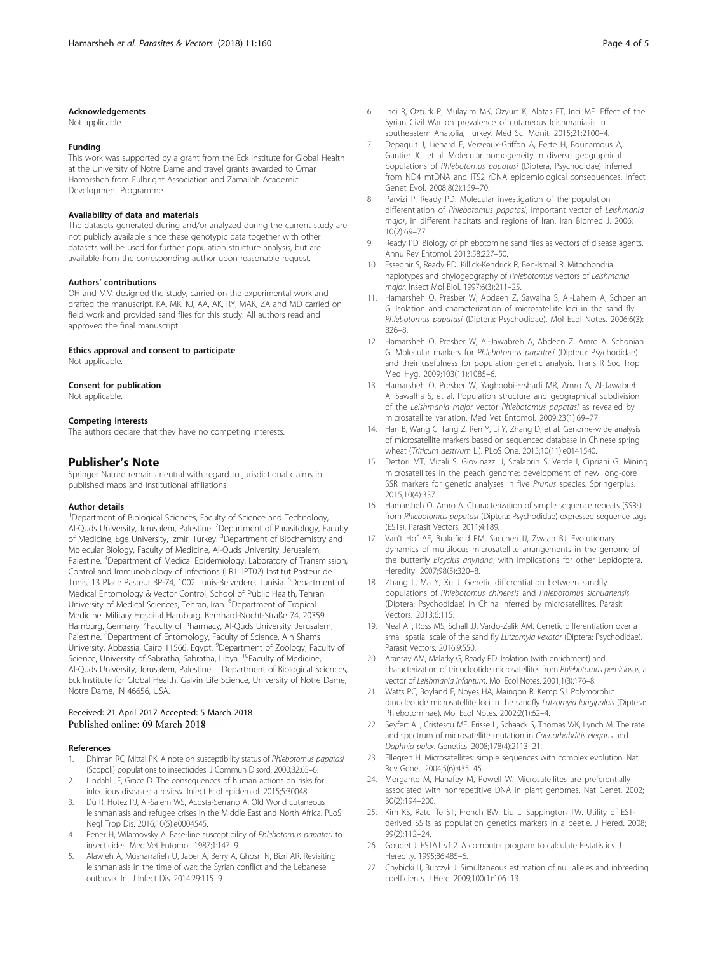#### <span id="page-3-0"></span>Acknowledgements

Not applicable.

#### Funding

This work was supported by a grant from the Eck Institute for Global Health at the University of Notre Dame and travel grants awarded to Omar Hamarsheh from Fulbright Association and Zamallah Academic Development Programme.

#### Availability of data and materials

The datasets generated during and/or analyzed during the current study are not publicly available since these genotypic data together with other datasets will be used for further population structure analysis, but are available from the corresponding author upon reasonable request.

#### Authors' contributions

OH and MM designed the study, carried on the experimental work and drafted the manuscript. KA, MK, KJ, AA, AK, RY, MAK, ZA and MD carried on field work and provided sand flies for this study. All authors read and approved the final manuscript.

#### Ethics approval and consent to participate

Not applicable.

#### Consent for publication

Not applicable.

#### Competing interests

The authors declare that they have no competing interests.

#### Publisher's Note

Springer Nature remains neutral with regard to jurisdictional claims in published maps and institutional affiliations.

#### Author details

<sup>1</sup>Department of Biological Sciences, Faculty of Science and Technology, Al-Quds University, Jerusalem, Palestine. <sup>2</sup> Department of Parasitology, Faculty of Medicine, Ege University, Izmir, Turkey. <sup>3</sup>Department of Biochemistry and Molecular Biology, Faculty of Medicine, Al-Quds University, Jerusalem, Palestine. <sup>4</sup>Department of Medical Epidemiology, Laboratory of Transmission, Control and Immunobiology of Infections (LR11IPT02) Institut Pasteur de Tunis, 13 Place Pasteur BP-74, 1002 Tunis-Belvedere, Tunisia. <sup>5</sup>Department of Medical Entomology & Vector Control, School of Public Health, Tehran University of Medical Sciences, Tehran, Iran. <sup>6</sup>Department of Tropical Medicine, Military Hospital Hamburg, Bernhard-Nocht-Straße 74, 20359 Hamburg, Germany. <sup>7</sup>Faculty of Pharmacy, Al-Quds University, Jerusalem, Palestine. <sup>8</sup>Department of Entomology, Faculty of Science, Ain Shams University, Abbassia, Cairo 11566, Egypt. <sup>9</sup>Department of Zoology, Faculty of Science, University of Sabratha, Sabratha, Libya. <sup>10</sup>Faculty of Medicine, Al-Quds University, Jerusalem, Palestine. 11Department of Biological Sciences, Eck Institute for Global Health, Galvin Life Science, University of Notre Dame, Notre Dame, IN 46656, USA.

#### Received: 21 April 2017 Accepted: 5 March 2018 Published online: 09 March 2018

#### References

- 1. Dhiman RC, Mittal PK. A note on susceptibility status of Phlebotomus papatasi (Scopoli) populations to insecticides. J Commun Disord. 2000;32:65–6.
- Lindahl JF, Grace D. The consequences of human actions on risks for infectious diseases: a review. Infect Ecol Epidemiol. 2015;5:30048.
- 3. Du R, Hotez PJ, Al-Salem WS, Acosta-Serrano A. Old World cutaneous leishmaniasis and refugee crises in the Middle East and North Africa. PLoS Negl Trop Dis. 2016;10(5):e0004545.
- 4. Pener H, Wilamovsky A. Base-line susceptibility of Phlebotomus papatasi to insecticides. Med Vet Entomol. 1987;1:147–9.
- 5. Alawieh A, Musharrafieh U, Jaber A, Berry A, Ghosn N, Bizri AR. Revisiting leishmaniasis in the time of war: the Syrian conflict and the Lebanese outbreak. Int J Infect Dis. 2014;29:115–9.
- 6. Inci R, Ozturk P, Mulayim MK, Ozyurt K, Alatas ET, Inci MF. Effect of the Syrian Civil War on prevalence of cutaneous leishmaniasis in southeastern Anatolia, Turkey. Med Sci Monit. 2015;21:2100–4.
- 7. Depaquit J, Lienard E, Verzeaux-Griffon A, Ferte H, Bounamous A, Gantier JC, et al. Molecular homogeneity in diverse geographical populations of Phlebotomus papatasi (Diptera, Psychodidae) inferred from ND4 mtDNA and ITS2 rDNA epidemiological consequences. Infect Genet Evol. 2008;8(2):159–70.
- 8. Parvizi P, Ready PD. Molecular investigation of the population differentiation of Phlebotomus papatasi, important vector of Leishmania major, in different habitats and regions of Iran. Iran Biomed J. 2006; 10(2):69–77.
- 9. Ready PD. Biology of phlebotomine sand flies as vectors of disease agents. Annu Rev Entomol. 2013;58:227–50.
- 10. Esseghir S, Ready PD, Killick-Kendrick R, Ben-Ismail R. Mitochondrial haplotypes and phylogeography of Phlebotomus vectors of Leishmania major. Insect Mol Biol. 1997;6(3):211–25.
- 11. Hamarsheh O, Presber W, Abdeen Z, Sawalha S, Al-Lahem A, Schoenian G. Isolation and characterization of microsatellite loci in the sand fly Phlebotomus papatasi (Diptera: Psychodidae). Mol Ecol Notes. 2006;6(3): 826–8.
- 12. Hamarsheh O, Presber W, Al-Jawabreh A, Abdeen Z, Amro A, Schonian G. Molecular markers for Phlebotomus papatasi (Diptera: Psychodidae) and their usefulness for population genetic analysis. Trans R Soc Trop Med Hyg. 2009;103(11):1085–6.
- 13. Hamarsheh O, Presber W, Yaghoobi-Ershadi MR, Amro A, Al-Jawabreh A, Sawalha S, et al. Population structure and geographical subdivision of the Leishmania major vector Phlebotomus papatasi as revealed by microsatellite variation. Med Vet Entomol. 2009;23(1):69–77.
- 14. Han B, Wang C, Tang Z, Ren Y, Li Y, Zhang D, et al. Genome-wide analysis of microsatellite markers based on sequenced database in Chinese spring wheat (Triticum aestivum L.). PLoS One. 2015;10(11):e0141540.
- 15. Dettori MT, Micali S, Giovinazzi J, Scalabrin S, Verde I, Cipriani G. Mining microsatellites in the peach genome: development of new long-core SSR markers for genetic analyses in five Prunus species. Springerplus. 2015;10(4):337.
- 16. Hamarsheh O, Amro A. Characterization of simple sequence repeats (SSRs) from Phlebotomus papatasi (Diptera: Psychodidae) expressed sequence tags (ESTs). Parasit Vectors. 2011;4:189.
- 17. Van't Hof AE, Brakefield PM, Saccheri IJ, Zwaan BJ. Evolutionary dynamics of multilocus microsatellite arrangements in the genome of the butterfly Bicyclus anynana, with implications for other Lepidoptera. Heredity. 2007;98(5):320–8.
- 18. Zhang L, Ma Y, Xu J. Genetic differentiation between sandfly populations of Phlebotomus chinensis and Phlebotomus sichuanensis (Diptera: Psychodidae) in China inferred by microsatellites. Parasit Vectors. 2013;6:115.
- 19. Neal AT, Ross MS, Schall JJ, Vardo-Zalik AM. Genetic differentiation over a small spatial scale of the sand fly Lutzomyia vexator (Diptera: Psychodidae). Parasit Vectors. 2016;9:550.
- 20. Aransay AM, Malarky G, Ready PD. Isolation (with enrichment) and characterization of trinucleotide microsatellites from Phlebotomus perniciosus, a vector of Leishmania infantum. Mol Ecol Notes. 2001;1(3):176–8.
- 21. Watts PC, Boyland E, Noyes HA, Maingon R, Kemp SJ. Polymorphic dinucleotide microsatellite loci in the sandfly Lutzomyia longipalpis (Diptera: Phlebotominae). Mol Ecol Notes. 2002;2(1):62–4.
- 22. Seyfert AL, Cristescu ME, Frisse L, Schaack S, Thomas WK, Lynch M. The rate and spectrum of microsatellite mutation in Caenorhabditis elegans and Daphnia pulex. Genetics. 2008;178(4):2113–21.
- 23. Ellegren H. Microsatellites: simple sequences with complex evolution. Nat Rev Genet. 2004;5(6):435–45.
- 24. Morgante M, Hanafey M, Powell W. Microsatellites are preferentially associated with nonrepetitive DNA in plant genomes. Nat Genet. 2002; 30(2):194–200.
- 25. Kim KS, Ratcliffe ST, French BW, Liu L, Sappington TW. Utility of ESTderived SSRs as population genetics markers in a beetle. J Hered. 2008; 99(2):112–24.
- 26. Goudet J. FSTAT v1.2. A computer program to calculate F-statistics. J Heredity. 1995;86:485–6.
- 27. Chybicki IJ, Burczyk J. Simultaneous estimation of null alleles and inbreeding coefficients. J Here. 2009;100(1):106–13.